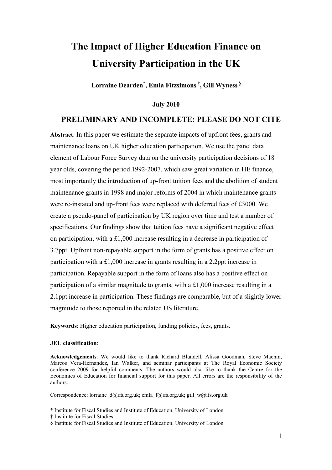## **The Impact of Higher Education Finance on University Participation in the UK**

**Lorraine Dearden**\* **, Emla Fitzsimons** †**, Gill Wyness §**

**July 2010** 

## **PRELIMINARY AND INCOMPLETE: PLEASE DO NOT CITE**

**Abstract**: In this paper we estimate the separate impacts of upfront fees, grants and maintenance loans on UK higher education participation. We use the panel data element of Labour Force Survey data on the university participation decisions of 18 year olds, covering the period 1992-2007, which saw great variation in HE finance, most importantly the introduction of up-front tuition fees and the abolition of student maintenance grants in 1998 and major reforms of 2004 in which maintenance grants were re-instated and up-front fees were replaced with deferred fees of £3000. We create a pseudo-panel of participation by UK region over time and test a number of specifications. Our findings show that tuition fees have a significant negative effect on participation, with a £1,000 increase resulting in a decrease in participation of 3.7ppt. Upfront non-repayable support in the form of grants has a positive effect on participation with a £1,000 increase in grants resulting in a 2.2ppt increase in participation. Repayable support in the form of loans also has a positive effect on participation of a similar magnitude to grants, with a £1,000 increase resulting in a 2.1ppt increase in participation. These findings are comparable, but of a slightly lower magnitude to those reported in the related US literature.

**Keywords**: Higher education participation, funding policies, fees, grants.

#### **JEL classification**:

**Acknowledgements**: We would like to thank Richard Blundell, Alissa Goodman, Steve Machin, Marcos Vera-Hernandez, Ian Walker, and seminar participants at The Royal Economic Society conference 2009 for helpful comments. The authors would also like to thank the Centre for the Economics of Education for financial support for this paper. All errors are the responsibility of the authors.

Correspondence: lorraine\_d@ifs.org.uk; [emla\\_f@ifs.org.uk;](mailto:emla_f@ifs.org.uk) gill\_w@ifs.org.uk

<sup>\*</sup> Institute for Fiscal Studies and Institute of Education, University of London

<sup>†</sup> Institute for Fiscal Studies

<sup>§</sup> Institute for Fiscal Studies and Institute of Education, University of London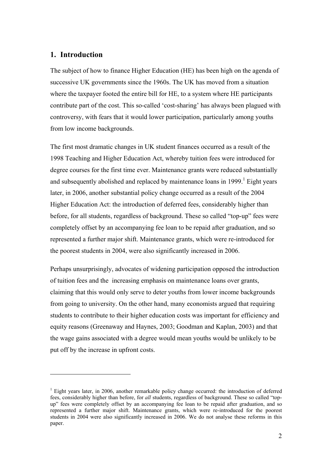## **1. Introduction**

 $\overline{a}$ 

The subject of how to finance Higher Education (HE) has been high on the agenda of successive UK governments since the 1960s. The UK has moved from a situation where the taxpayer footed the entire bill for HE, to a system where HE participants contribute part of the cost. This so-called 'cost-sharing' has always been plagued with controversy, with fears that it would lower participation, particularly among youths from low income backgrounds.

The first most dramatic changes in UK student finances occurred as a result of the 1998 Teaching and Higher Education Act, whereby tuition fees were introduced for degree courses for the first time ever. Maintenance grants were reduced substantially and subsequently abolished and replaced by maintenance loans in 1999.<sup>1</sup> Eight years later, in 2006, another substantial policy change occurred as a result of the 2004 Higher Education Act: the introduction of deferred fees, considerably higher than before, for all students, regardless of background. These so called "top-up" fees were completely offset by an accompanying fee loan to be repaid after graduation, and so represented a further major shift. Maintenance grants, which were re-introduced for the poorest students in 2004, were also significantly increased in 2006.

Perhaps unsurprisingly, advocates of widening participation opposed the introduction of tuition fees and the increasing emphasis on maintenance loans over grants, claiming that this would only serve to deter youths from lower income backgrounds from going to university. On the other hand, many economists argued that requiring students to contribute to their higher education costs was important for efficiency and equity reasons (Greenaway and Haynes, 2003; Goodman and Kaplan, 2003) and that the wage gains associated with a degree would mean youths would be unlikely to be put off by the increase in upfront costs.

<span id="page-1-0"></span><sup>&</sup>lt;sup>1</sup> Eight years later, in 2006, another remarkable policy change occurred: the introduction of deferred fees, considerably higher than before, for *all* students, regardless of background. These so called "topup" fees were completely offset by an accompanying fee loan to be repaid after graduation, and so represented a further major shift. Maintenance grants, which were re-introduced for the poorest students in 2004 were also significantly increased in 2006. We do not analyse these reforms in this paper.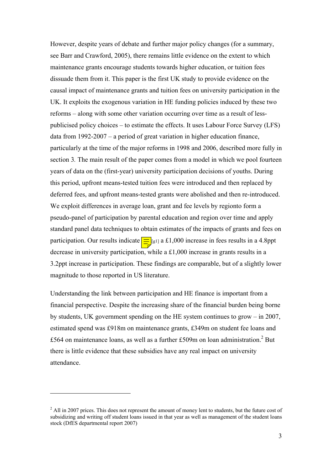However, despite years of debate and further major policy changes (for a summary, see Barr and Crawford, 2005), there remains little evidence on the extent to which maintenance grants encourage students towards higher education, or tuition fees dissuade them from it. This paper is the first UK study to provide evidence on the causal impact of maintenance grants and tuition fees on university participation in the UK. It exploits the exogenous variation in HE funding policies induced by these two reforms – along with some other variation occurring over time as a result of lesspublicised policy choices – to estimate the effects. It uses Labour Force Survey (LFS) data from 1992-2007 – a period of great variation in higher education finance, particularly at the time of the major reforms in 1998 and 2006, described more fully in section 3*.* The main result of the paper comes from a model in which we pool fourteen years of data on the (first-year) university participation decisions of youths. During this period, upfront means-tested tuition fees were introduced and then replaced by deferred fees, and upfront means-tested grants were abolished and then re-introduced. We exploit differences in average loan, grant and fee levels by regionto form a pseudo-panel of participation by parental education and region over time and apply standard panel data techniques to obtain estimates of the impacts of grants and fees on participation. Our results indicate  $\equiv$  [g1] a £1,000 increase in fees results in a 4.8ppt decrease in university participation, while a £1,000 increase in grants results in a 3.2ppt increase in participation. These findings are comparable, but of a slightly lower magnitude to those reported in US literature.

Understanding the link between participation and HE finance is important from a financial perspective. Despite the increasing share of the financial burden being borne by students, UK government spending on the HE system continues to grow – in 2007, estimated spend was £918m on maintenance grants, £349m on student fee loans and £564 on maintenance loans, as well as a further £509m on loan administration.<sup>2</sup> But there is little evidence that these subsidies have any real impact on university attendance.

<span id="page-2-0"></span> $2$  All in 2007 prices. This does not represent the amount of money lent to students, but the future cost of subsidizing and writing off student loans issued in that year as well as management of the student loans stock (DfES departmental report 2007)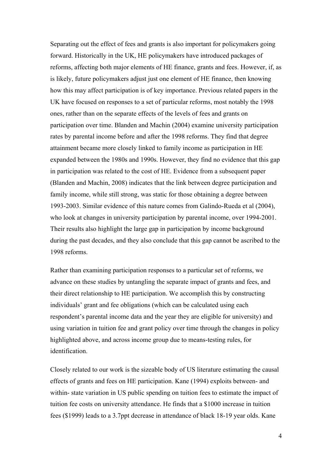Separating out the effect of fees and grants is also important for policymakers going forward. Historically in the UK, HE policymakers have introduced packages of reforms, affecting both major elements of HE finance, grants and fees. However, if, as is likely, future policymakers adjust just one element of HE finance, then knowing how this may affect participation is of key importance. Previous related papers in the UK have focused on responses to a set of particular reforms, most notably the 1998 ones, rather than on the separate effects of the levels of fees and grants on participation over time. Blanden and Machin (2004) examine university participation rates by parental income before and after the 1998 reforms. They find that degree attainment became more closely linked to family income as participation in HE expanded between the 1980s and 1990s. However, they find no evidence that this gap in participation was related to the cost of HE. Evidence from a subsequent paper (Blanden and Machin, 2008) indicates that the link between degree participation and family income, while still strong, was static for those obtaining a degree between 1993-2003. Similar evidence of this nature comes from Galindo-Rueda et al (2004), who look at changes in university participation by parental income, over 1994-2001. Their results also highlight the large gap in participation by income background during the past decades, and they also conclude that this gap cannot be ascribed to the 1998 reforms.

Rather than examining participation responses to a particular set of reforms, we advance on these studies by untangling the separate impact of grants and fees, and their direct relationship to HE participation. We accomplish this by constructing individuals' grant and fee obligations (which can be calculated using each respondent's parental income data and the year they are eligible for university) and using variation in tuition fee and grant policy over time through the changes in policy highlighted above, and across income group due to means-testing rules, for identification.

Closely related to our work is the sizeable body of US literature estimating the causal effects of grants and fees on HE participation. Kane (1994) exploits between- and within- state variation in US public spending on tuition fees to estimate the impact of tuition fee costs on university attendance. He finds that a \$1000 increase in tuition fees (\$1999) leads to a 3.7ppt decrease in attendance of black 18-19 year olds. Kane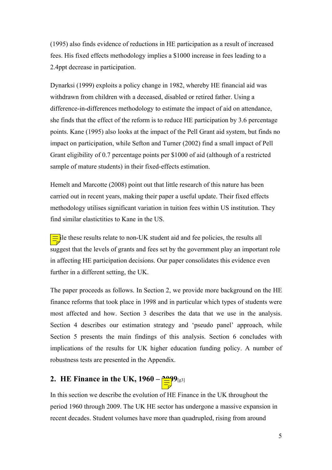(1995) also finds evidence of reductions in HE participation as a result of increased fees. His fixed effects methodology implies a \$1000 increase in fees leading to a 2.4ppt decrease in participation.

Dynarksi (1999) exploits a policy change in 1982, whereby HE financial aid was withdrawn from children with a deceased, disabled or retired father. Using a difference-in-differences methodology to estimate the impact of aid on attendance, she finds that the effect of the reform is to reduce HE participation by 3.6 percentage points. Kane (1995) also looks at the impact of the Pell Grant aid system, but finds no impact on participation, while Sefton and Turner (2002) find a small impact of Pell Grant eligibility of 0.7 percentage points per \$1000 of aid (although of a restricted sample of mature students) in their fixed-effects estimation.

Hemelt and Marcotte (2008) point out that little research of this nature has been carried out in recent years, making their paper a useful update. Their fixed effects methodology utilises significant variation in tuition fees within US institution. They find similar elastictities to Kane in the US.

 $\equiv$ ile these results relate to non-UK student aid and fee policies, the results all suggest that the levels of grants and fees set by the government play an important role in affecting HE participation decisions. Our paper consolidates this evidence even further in a different setting, the UK.

The paper proceeds as follows. In Section 2, we provide more background on the HE finance reforms that took place in 1998 and in particular which types of students were most affected and how. Section 3 describes the data that we use in the analysis. Section 4 describes our estimation strategy and 'pseudo panel' approach, while Section 5 presents the main findings of this analysis. Section 6 concludes with implications of the results for UK higher education funding policy. A number of robustness tests are presented in the Appendix.

# **2.** HE Finance in the UK,  $1960 - \frac{200}{\frac{1}{2}}9_{\frac{g}{3}}$

In this section we describe the evolution of HE Finance in the UK throughout the period 1960 through 2009. The UK HE sector has undergone a massive expansion in recent decades. Student volumes have more than quadrupled, rising from around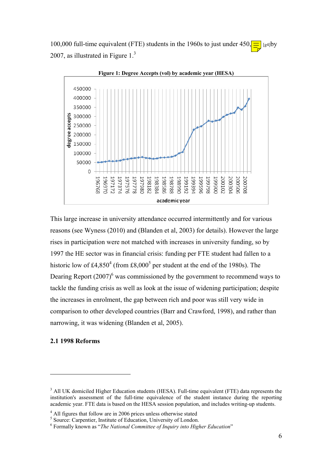100,000 full-time equivalent (FTE) students in the 1960s to just under  $450\sqrt{\frac{1}{\pi}}$  [g4]by 2007, as illustrated in Figure  $1<sup>3</sup>$ 



This large increase in university attendance occurred intermittently and for various reasons (see Wyness (2010) and (Blanden et al, 2003) for details). However the large rises in participation were not matched with increases in university funding, so by 1997 the HE sector was in financial crisis: funding per FTE student had fallen to a historic low of £[4](#page-5-1),8[5](#page-5-2)0<sup>4</sup> (from £8,000<sup>5</sup> per student at the end of the 1980s). The Dearing Report  $(2007)^6$  was commissioned by the government to recommend ways to tackle the funding crisis as well as look at the issue of widening participation; despite the increases in enrolment, the gap between rich and poor was still very wide in comparison to other developed countries (Barr and Crawford, 1998), and rather than narrowing, it was widening (Blanden et al, 2005).

#### **2.1 1998 Reforms**

<span id="page-5-0"></span><sup>&</sup>lt;sup>3</sup> All UK domiciled Higher Education students (HESA). Full-time equivalent (FTE) data represents the institution's assessment of the full-time equivalence of the student instance during the reporting academic year. FTE data is based on the HESA session population, and includes writing-up students.

<span id="page-5-1"></span> $4$  All figures that follow are in 2006 prices unless otherwise stated <sup>4</sup> All figures that follow are in 2006 prices unless otherwise stated  $\frac{5}{5}$  Source: Carpontian Institute of Education Injurgity of London

<span id="page-5-2"></span>Source: Carpentier, Institute of Education, University of London.<br>  $\frac{6}{5}$  Formally known as "The National Committee of Inquiry into High

<span id="page-5-3"></span>Formally known as "*The National Committee of Inquiry into Higher Education*"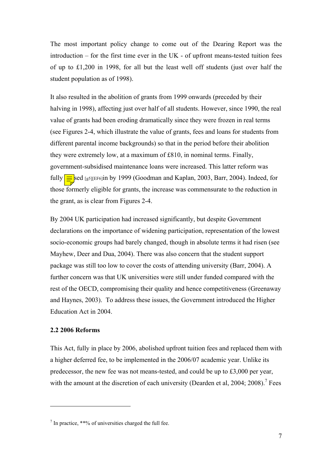The most important policy change to come out of the Dearing Report was the introduction – for the first time ever in the UK - of upfront means-tested tuition fees of up to £1,200 in 1998, for all but the least well off students (just over half the student population as of 1998).

It also resulted in the abolition of grants from 1999 onwards (preceded by their halving in 1998), affecting just over half of all students. However, since 1990, the real value of grants had been eroding dramatically since they were frozen in real terms (see Figures 2-4, which illustrate the value of grants, fees and loans for students from different parental income backgrounds) so that in the period before their abolition they were extremely low, at a maximum of £810, in nominal terms. Finally, government-subsidised maintenance loans were increased. This latter reform was fully  $\equiv$  sed [g5][EF6]in by 1999 (Goodman and Kaplan, 2003, Barr, 2004). Indeed, for those formerly eligible for grants, the increase was commensurate to the reduction in the grant, as is clear from Figures 2-4.

By 2004 UK participation had increased significantly, but despite Government declarations on the importance of widening participation, representation of the lowest socio-economic groups had barely changed, though in absolute terms it had risen (see Mayhew, Deer and Dua, 2004). There was also concern that the student support package was still too low to cover the costs of attending university (Barr, 2004). A further concern was that UK universities were still under funded compared with the rest of the OECD, compromising their quality and hence competitiveness (Greenaway and Haynes, 2003). To address these issues, the Government introduced the Higher Education Act in 2004.

#### **2.2 2006 Reforms**

 $\overline{a}$ 

This Act, fully in place by 2006, abolished upfront tuition fees and replaced them with a higher deferred fee, to be implemented in the 2006/07 academic year. Unlike its predecessor, the new fee was not means-tested, and could be up to £3,000 per year, with the amount at the discretion of each university (Dearden et al, 2004; 2008).<sup>[7](#page-6-0)</sup> Fees

<span id="page-6-0"></span> $7$  In practice, \*\*% of universities charged the full fee.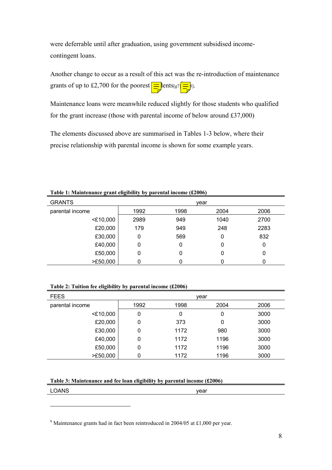were deferrable until after graduation, using government subsidised incomecontingent loans.

Another change to occur as a result of this act was the re-introduction of maintenance grants of up to £2,700 for the poorest  $\boxed{\equiv}$  lents[g7 $\boxed{\equiv}$ [8](#page-7-0)].

Maintenance loans were meanwhile reduced slightly for those students who qualified for the grant increase (those with parental income of below around £37,000)

The elements discussed above are summarised in Tables 1-3 below, where their precise relationship with parental income is shown for some example years.

| Two $\alpha$ is remainded grand eignancy by partner medine (\$2000) |      |      |      |      |  |
|---------------------------------------------------------------------|------|------|------|------|--|
| <b>GRANTS</b>                                                       |      |      | vear |      |  |
| parental income                                                     | 1992 | 1998 | 2004 | 2006 |  |
| $<$ £10,000                                                         | 2989 | 949  | 1040 | 2700 |  |
| £20,000                                                             | 179  | 949  | 248  | 2283 |  |
| £30,000                                                             | 0    | 569  | 0    | 832  |  |
| £40,000                                                             | 0    | 0    | 0    | 0    |  |
| £50,000                                                             | 0    | 0    | 0    | 0    |  |
| >E50,000                                                            |      |      |      |      |  |

#### **Table 1: Maintenance grant eligibility by parental income (£2006)**

| Table 2: Tuition fee eligibility by parental income (£2006) |  |  |  |  |  |
|-------------------------------------------------------------|--|--|--|--|--|
|-------------------------------------------------------------|--|--|--|--|--|

| <b>FEES</b>     |      |      | vear |      |
|-----------------|------|------|------|------|
| parental income | 1992 | 1998 | 2004 | 2006 |
| $<$ £10,000     | 0    | 0    | 0    | 3000 |
| £20,000         | 0    | 373  | 0    | 3000 |
| £30,000         | 0    | 1172 | 980  | 3000 |
| £40,000         | 0    | 1172 | 1196 | 3000 |
| £50,000         | 0    | 1172 | 1196 | 3000 |
| >E50,000        | 0    | 1172 | 1196 | 3000 |

#### **Table 3: Maintenance and fee loan eligibility by parental income (£2006)**

| <b>LOANS</b><br>vear<br>_____<br>. |  |
|------------------------------------|--|
|------------------------------------|--|

<span id="page-7-0"></span><sup>&</sup>lt;sup>8</sup> Maintenance grants had in fact been reintroduced in 2004/05 at £1,000 per year.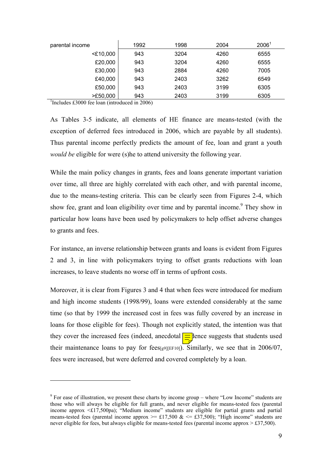| parental income | 1992 | 1998 | 2004 | 2006 <sup>1</sup> |
|-----------------|------|------|------|-------------------|
| $<$ £10,000     | 943  | 3204 | 4260 | 6555              |
| £20,000         | 943  | 3204 | 4260 | 6555              |
| £30,000         | 943  | 2884 | 4260 | 7005              |
| £40,000         | 943  | 2403 | 3262 | 6549              |
| £50,000         | 943  | 2403 | 3199 | 6305              |
| >E50,000        | 943  | 2403 | 3199 | 6305              |

<sup>1</sup>Includes £3000 fee loan (introduced in 2006)

 $\overline{a}$ 

As Tables 3-5 indicate, all elements of HE finance are means-tested (with the exception of deferred fees introduced in 2006, which are payable by all students). Thus parental income perfectly predicts the amount of fee, loan and grant a youth *would be* eligible for were (s) he to attend university the following year.

While the main policy changes in grants, fees and loans generate important variation over time, all three are highly correlated with each other, and with parental income, due to the means-testing criteria. This can be clearly seen from Figures 2-4, which show fee, grant and loan eligibility over time and by parental income.<sup>[9](#page-8-0)</sup> They show in particular how loans have been used by policymakers to help offset adverse changes to grants and fees.

For instance, an inverse relationship between grants and loans is evident from Figures 2 and 3, in line with policymakers trying to offset grants reductions with loan increases, to leave students no worse off in terms of upfront costs.

Moreover, it is clear from Figures 3 and 4 that when fees were introduced for medium and high income students (1998/99), loans were extended considerably at the same time (so that by 1999 the increased cost in fees was fully covered by an increase in loans for those eligible for fees). Though not explicitly stated, the intention was that they cover the increased fees (indeed, anecdotal  $\equiv$  lence suggests that students used their maintenance loans to pay for fees[g9][EF10]). Similarly, we see that in  $2006/07$ , fees were increased, but were deferred and covered completely by a loan.

<span id="page-8-0"></span> $9^9$  For ease of illustration, we present these charts by income group – where "Low Income" students are those who will always be eligible for full grants, and never eligible for means-tested fees (parental income approx <£17,500pa); "Medium income" students are eligible for partial grants and partial means-tested fees (parental income approx  $\ge$  £17,500 &  $\le$  £37,500); "High income" students are never eligible for fees, but always eligible for means-tested fees (parental income approx  $> \pounds 37,500$ ).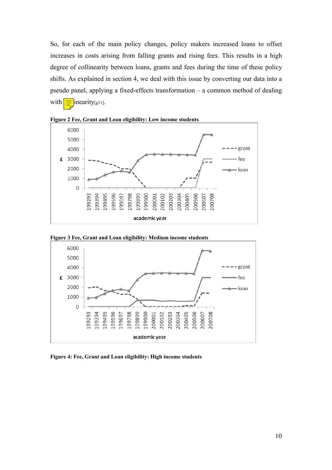So, for each of the main policy changes, policy makers increased loans to offset increases in costs arising from falling grants and rising fees. This results in a high degree of collinearity between loans, grants and fees during the time of these policy shifts. As explained in section 4, we deal with this issue by converting our data into a pseudo panel, applying a fixed-effects transformation – a common method of dealing with  $\boxed{\equiv}$  inearity[g11].



**Figure 2 Fee, Grant and Loan eligibility: Low income students** 



**Figure 3 Fee, Grant and Loan eligibility: Medium income students** 

**Figure 4: Fee, Grant and Loan eligibility: High income students**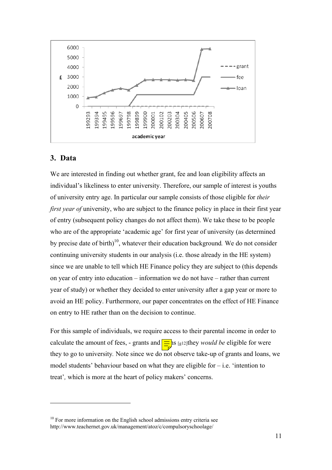

## **3. Data**

 $\overline{a}$ 

We are interested in finding out whether grant, fee and loan eligibility affects an individual's likeliness to enter university. Therefore, our sample of interest is youths of university entry age. In particular our sample consists of those eligible for *their first year of* university, who are subject to the finance policy in place in their first year of entry (subsequent policy changes do not affect them). We take these to be people who are of the appropriate 'academic age' for first year of university (as determined by precise date of birth)[10,](#page-10-0) whatever their education background*.* We do not consider continuing university students in our analysis (i.e. those already in the HE system) since we are unable to tell which HE Finance policy they are subject to (this depends on year of entry into education – information we do not have – rather than current year of study) or whether they decided to enter university after a gap year or more to avoid an HE policy. Furthermore, our paper concentrates on the effect of HE Finance on entry to HE rather than on the decision to continue.

For this sample of individuals, we require access to their parental income in order to calculate the amount of fees, - grants and  $\frac{1}{\sqrt{2}}$  is [g12]they *would be* eligible for were they to go to university*.* Note since we do not observe take-up of grants and loans, we model students' behaviour based on what they are eligible for  $-$  i.e. 'intention to treat'*,* which is more at the heart of policy makers' concerns.

<span id="page-10-0"></span> $10$  For more information on the English school admissions entry criteria see http://www.teachernet.gov.uk/management/atoz/c/compulsoryschoolage/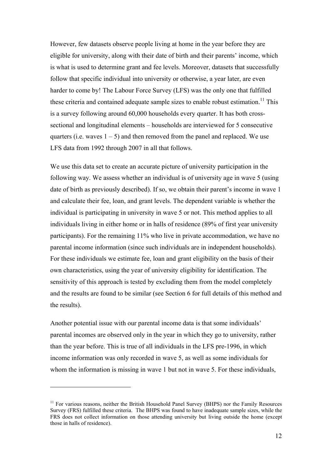However, few datasets observe people living at home in the year before they are eligible for university, along with their date of birth and their parents' income, which is what is used to determine grant and fee levels. Moreover, datasets that successfully follow that specific individual into university or otherwise, a year later, are even harder to come by! The Labour Force Survey (LFS) was the only one that fulfilled these criteria and contained adequate sample sizes to enable robust estimation.<sup>11</sup> This is a survey following around 60,000 households every quarter. It has both crosssectional and longitudinal elements – households are interviewed for 5 consecutive quarters (i.e. waves  $1 - 5$ ) and then removed from the panel and replaced. We use LFS data from 1992 through 2007 in all that follows.

We use this data set to create an accurate picture of university participation in the following way. We assess whether an individual is of university age in wave 5 (using date of birth as previously described). If so, we obtain their parent's income in wave 1 and calculate their fee, loan, and grant levels. The dependent variable is whether the individual is participating in university in wave 5 or not. This method applies to all individuals living in either home or in halls of residence (89% of first year university participants). For the remaining 11% who live in private accommodation, we have no parental income information (since such individuals are in independent households). For these individuals we estimate fee, loan and grant eligibility on the basis of their own characteristics, using the year of university eligibility for identification. The sensitivity of this approach is tested by excluding them from the model completely and the results are found to be similar (see Section 6 for full details of this method and the results).

Another potential issue with our parental income data is that some individuals' parental incomes are observed only in the year in which they go to university, rather than the year before. This is true of all individuals in the LFS pre-1996, in which income information was only recorded in wave 5, as well as some individuals for whom the information is missing in wave 1 but not in wave 5. For these individuals,

<span id="page-11-0"></span><sup>&</sup>lt;sup>11</sup> For various reasons, neither the British Household Panel Survey (BHPS) nor the Family Resources Survey (FRS) fulfilled these criteria. The BHPS was found to have inadequate sample sizes, while the FRS does not collect information on those attending university but living outside the home (except those in halls of residence).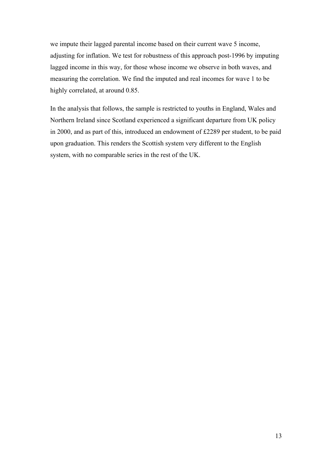we impute their lagged parental income based on their current wave 5 income, adjusting for inflation. We test for robustness of this approach post-1996 by imputing lagged income in this way, for those whose income we observe in both waves, and measuring the correlation. We find the imputed and real incomes for wave 1 to be highly correlated, at around 0.85.

In the analysis that follows, the sample is restricted to youths in England, Wales and Northern Ireland since Scotland experienced a significant departure from UK policy in 2000, and as part of this, introduced an endowment of £2289 per student, to be paid upon graduation. This renders the Scottish system very different to the English system, with no comparable series in the rest of the UK.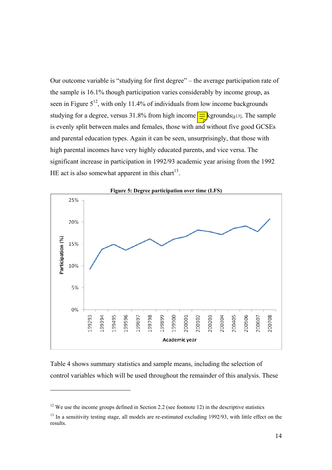Our outcome variable is "studying for first degree" – the average participation rate of the sample is 16.1% though participation varies considerably by income group, as seen in Figure  $5^{12}$ , with only 11.4% of individuals from low income backgrounds studying for a degree, versus 31.8% from high income  $\equiv$  kgrounds[g13]. The sample is evenly split between males and females, those with and without five good GCSEs and parental education types. Again it can be seen, unsurprisingly, that those with high parental incomes have very highly educated parents, and vice versa. The significant increase in participation in 1992/93 academic year arising from the 1992 HE act is also somewhat apparent in this chart $13$ .



Table 4 shows summary statistics and sample means, including the selection of control variables which will be used throughout the remainder of this analysis. These

<span id="page-13-0"></span> $12$  We use the income groups defined in Section 2.2 (see footnote 12) in the descriptive statistics

<span id="page-13-1"></span><sup>&</sup>lt;sup>13</sup> In a sensitivity testing stage, all models are re-estimated excluding 1992/93, with little effect on the results.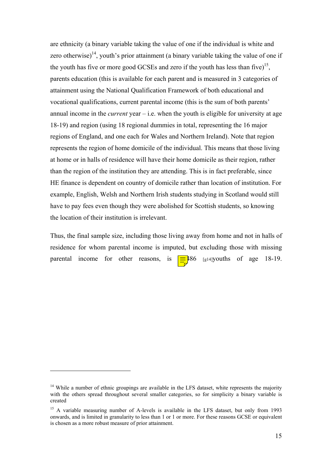are ethnicity (a binary variable taking the value of one if the individual is white and zero otherwise)<sup>14</sup>, youth's prior attainment (a binary variable taking the value of one if the youth has five or more good GCSEs and zero if the youth has less than five)<sup>15</sup>, parents education (this is available for each parent and is measured in 3 categories of attainment using the National Qualification Framework of both educational and vocational qualifications, current parental income (this is the sum of both parents' annual income in the *current* year – i.e. when the youth is eligible for university at age 18-19) and region (using 18 regional dummies in total, representing the 16 major regions of England, and one each for Wales and Northern Ireland). Note that region represents the region of home domicile of the individual. This means that those living at home or in halls of residence will have their home domicile as their region, rather than the region of the institution they are attending. This is in fact preferable, since HE finance is dependent on country of domicile rather than location of institution. For example, English, Welsh and Northern Irish students studying in Scotland would still have to pay fees even though they were abolished for Scottish students, so knowing the location of their institution is irrelevant.

Thus, the final sample size, including those living away from home and not in halls of residence for whom parental income is imputed, but excluding those with missing parental income for other reasons, is  $\boxed{\equiv}486$  [g14]youths of age 18-19.

<span id="page-14-0"></span><sup>&</sup>lt;sup>14</sup> While a number of ethnic groupings are available in the LFS dataset, white represents the majority with the others spread throughout several smaller categories, so for simplicity a binary variable is created

<span id="page-14-1"></span><sup>&</sup>lt;sup>15</sup> A variable measuring number of A-levels is available in the LFS dataset, but only from 1993 onwards, and is limited in granularity to less than 1 or 1 or more. For these reasons GCSE or equivalent is chosen as a more robust measure of prior attainment.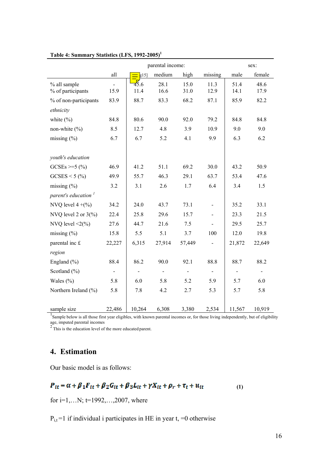|                                                                                                                                                   |        |              | parental income: |              |                |              | sex:         |
|---------------------------------------------------------------------------------------------------------------------------------------------------|--------|--------------|------------------|--------------|----------------|--------------|--------------|
|                                                                                                                                                   | all    | g15          | medium           | high         | missing        | male         | female       |
| % all sample<br>% of participants                                                                                                                 | 15.9   | 45.6<br>11.4 | 28.1<br>16.6     | 15.0<br>31.0 | 11.3<br>12.9   | 51.4<br>14.1 | 48.6<br>17.9 |
| % of non-participants                                                                                                                             | 83.9   | 88.7         | 83.3             | 68.2         | 87.1           | 85.9         | 82.2         |
| ethnicity                                                                                                                                         |        |              |                  |              |                |              |              |
| white $(\% )$                                                                                                                                     | 84.8   | 80.6         | 90.0             | 92.0         | 79.2           | 84.8         | 84.8         |
| non-white $(\% )$                                                                                                                                 | 8.5    | 12.7         | 4.8              | 3.9          | 10.9           | 9.0          | 9.0          |
| missing $(\% )$                                                                                                                                   | 6.7    | 6.7          | 5.2              | 4.1          | 9.9            | 6.3          | 6.2          |
|                                                                                                                                                   |        |              |                  |              |                |              |              |
| youth's education                                                                                                                                 |        |              |                  |              |                |              |              |
| $GCSEs \geq 5$ (%)                                                                                                                                | 46.9   | 41.2         | 51.1             | 69.2         | 30.0           | 43.2         | 50.9         |
| $GCSES < 5$ (%)                                                                                                                                   | 49.9   | 55.7         | 46.3             | 29.1         | 63.7           | 53.4         | 47.6         |
| missing $(\% )$                                                                                                                                   | 3.2    | 3.1          | 2.6              | 1.7          | 6.4            | 3.4          | 1.5          |
| parent's education <sup>1</sup>                                                                                                                   |        |              |                  |              |                |              |              |
| NVQ level $4+(%)$                                                                                                                                 | 34.2   | 24.0         | 43.7             | 73.1         | $\blacksquare$ | 35.2         | 33.1         |
| NVQ level 2 or $3\frac{6}{6}$                                                                                                                     | 22.4   | 25.8         | 29.6             | 15.7         |                | 23.3         | 21.5         |
| NVQ level $\leq 2$ (%)                                                                                                                            | 27.6   | 44.7         | 21.6             | 7.5          | $\blacksquare$ | 29.5         | 25.7         |
| missing $(\% )$                                                                                                                                   | 15.8   | 5.5          | 5.1              | 3.7          | 100            | 12.0         | 19.8         |
| parental inc £                                                                                                                                    | 22,227 | 6,315        | 27,914           | 57,449       |                | 21,872       | 22,649       |
| region                                                                                                                                            |        |              |                  |              |                |              |              |
| England $(\% )$                                                                                                                                   | 88.4   | 86.2         | 90.0             | 92.1         | 88.8           | 88.7         | 88.2         |
| Scotland $(\% )$                                                                                                                                  |        |              |                  |              |                |              |              |
| Wales $(\% )$                                                                                                                                     | 5.8    | 6.0          | 5.8              | 5.2          | 5.9            | 5.7          | 6.0          |
| Northern Ireland (%)                                                                                                                              | 5.8    | 7.8          | 4.2              | 2.7          | 5.3            | 5.7          | 5.8          |
|                                                                                                                                                   |        |              |                  |              |                |              |              |
| sample size<br>Sample below is all those first year eligibles, with known parental incomes or, for those living independently, but of eligibility | 22,486 | 10,264       | 6,308            | 3,380        | 2,534          | 11,567       | 10,919       |

## **Table 4: Summary Statistics (LFS, 1992-2005)**<sup>1</sup>

age, imputed parental incomes<br> $2<sup>2</sup>$  This is the education level of the more educated parent.

## **4. Estimation**

Our basic model is as follows:

$$
P_{tt} = \alpha + \beta_1 F_{tt} + \beta_2 G_{tt} + \beta_3 L_{tt} + \gamma X_{tt} + \rho_r + \tau_t + u_{it}
$$
 (1)

for i=1,...N;  $t=1992,...,2007$ , where

 $P_{i,t}$  =1 if individual i participates in HE in year t, =0 otherwise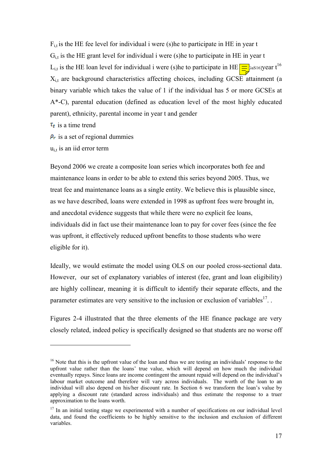$F_{i,t}$  is the HE fee level for individual i were (s) he to participate in HE in year t  $G_{i,t}$  is the HE grant level for individual i were (s) he to participate in HE in year t L<sub>i,t</sub> is the HE loan level for individual i were (s)he to participate in HE  $\equiv$   $\frac{1}{5}$   $\frac{1}{6}$  as 16]year t<sup>16</sup>  $X_{i,t}$  are background characteristics affecting choices, including GCSE attainment (a binary variable which takes the value of 1 if the individual has 5 or more GCSEs at A\*-C), parental education (defined as education level of the most highly educated parent), ethnicity, parental income in year t and gender

 $\tau_t$  is a time trend

 $\overline{a}$ 

 $\rho_r$  is a set of regional dummies

 $u_{i,t}$  is an iid error term

Beyond 2006 we create a composite loan series which incorporates both fee and maintenance loans in order to be able to extend this series beyond 2005. Thus, we treat fee and maintenance loans as a single entity. We believe this is plausible since, as we have described, loans were extended in 1998 as upfront fees were brought in, and anecdotal evidence suggests that while there were no explicit fee loans, individuals did in fact use their maintenance loan to pay for cover fees (since the fee was upfront, it effectively reduced upfront benefits to those students who were eligible for it).

Ideally, we would estimate the model using OLS on our pooled cross-sectional data. However, our set of explanatory variables of interest (fee, grant and loan eligibility) are highly collinear, meaning it is difficult to identify their separate effects, and the parameter estimates are very sensitive to the inclusion or exclusion of variables<sup>17</sup>.

Figures 2-4 illustrated that the three elements of the HE finance package are very closely related, indeed policy is specifically designed so that students are no worse off

<span id="page-16-0"></span><sup>&</sup>lt;sup>16</sup> Note that this is the upfront value of the loan and thus we are testing an individuals' response to the upfront value rather than the loans' true value, which will depend on how much the individual eventually repays. Since loans are income contingent the amount repaid will depend on the individual's labour market outcome and therefore will vary across individuals. The worth of the loan to an individual will also depend on his/her discount rate. In Section 6 we transform the loan's value by applying a discount rate (standard across individuals) and thus estimate the response to a truer approximation to the loans worth.

<span id="page-16-1"></span> $17$  In an initial testing stage we experimented with a number of specifications on our individual level data, and found the coefficients to be highly sensitive to the inclusion and exclusion of different variables.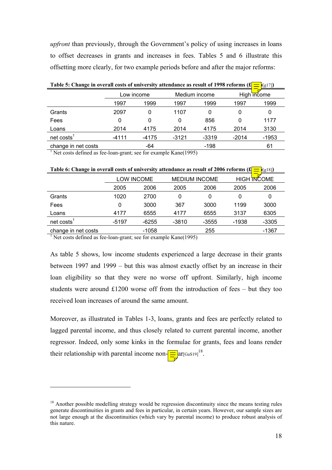*upfront* than previously, through the Government's policy of using increases in loans to offset decreases in grants and increases in fees. Tables 5 and 6 illustrate this offsetting more clearly, for two example periods before and after the major reforms:

| Table 5: Change in overall costs of university attendance as result of 1998 reforms $(\pounds = [g17])$ |            |         |         |               |         |             |  |
|---------------------------------------------------------------------------------------------------------|------------|---------|---------|---------------|---------|-------------|--|
|                                                                                                         | Low income |         |         | Medium income |         | High income |  |
|                                                                                                         | 1997       | 1999    | 1997    | 1999          | 1997    | 1999        |  |
| Grants                                                                                                  | 2097       | 0       | 1107    |               |         | 0           |  |
| Fees                                                                                                    | 0          | 0       | 0       | 856           |         | 1177        |  |
| Loans                                                                                                   | 2014       | 4175    | 2014    | 4175          | 2014    | 3130        |  |
| $net \; costs1$                                                                                         | $-4111$    | $-4175$ | $-3121$ | -3319         | $-2014$ | $-1953$     |  |
| change in net costs                                                                                     |            | -64     |         | -198          |         | 61          |  |

**Table 5: Change in overall costs of university attendance as result of 1998 reforms**  $(f = |g| \cdot 7)$ 

<sup>1</sup> Net costs defined as fee-loan-grant; see for example Kane(1995)

| Table 0: Change in overall costs of university attendance as result of 2000 reforms (x)<br>PLSI8J) |       |                   |         |                      |         |                    |
|----------------------------------------------------------------------------------------------------|-------|-------------------|---------|----------------------|---------|--------------------|
|                                                                                                    |       | <b>LOW INCOME</b> |         | <b>MEDIUM INCOME</b> |         | <b>HIGH INCOME</b> |
|                                                                                                    | 2005  | 2006              | 2005    | 2006                 | 2005    | 2006               |
| Grants                                                                                             | 1020  | 2700              | 0       | 0                    | 0       | 0                  |
| Fees                                                                                               |       | 3000              | 367     | 3000                 | 1199    | 3000               |
| Loans                                                                                              | 4177  | 6555              | 4177    | 6555                 | 3137    | 6305               |
| $net \, costs1$                                                                                    | -5197 | $-6255$           | $-3810$ | $-3555$              | $-1938$ | -3305              |
| change in net costs                                                                                |       | $-1058$           |         | 255                  |         | -1367              |

 $T_{\text{max}}$  ( $C_{\text{max}}$ )  $T_{\text{max}}$  of university attendance as result of 2006 reforms ( $C_{\text{max}}$ [g18])

<sup>1</sup> Net costs defined as fee-loan-grant; see for example Kane(1995)

 $\overline{a}$ 

As table 5 shows, low income students experienced a large decrease in their grants between 1997 and 1999 – but this was almost exactly offset by an increase in their loan eligibility so that they were no worse off upfront. Similarly, high income students were around £1200 worse off from the introduction of fees – but they too received loan increases of around the same amount.

Moreover, as illustrated in Tables 1-3, loans, grants and fees are perfectly related to lagged parental income, and thus closely related to current parental income, another regressor. Indeed, only some kinks in the formulae for grants, fees and loans render their relationship with parental income non- $\equiv$   $\left[\text{ar}_{\left[GaS19\right]}^{18}\right]$  $\left[\text{ar}_{\left[GaS19\right]}^{18}\right]$  $\left[\text{ar}_{\left[GaS19\right]}^{18}\right]$ .

<span id="page-17-0"></span><sup>&</sup>lt;sup>18</sup> Another possible modelling strategy would be regression discontinuity since the means testing rules generate discontinuities in grants and fees in particular, in certain years. However, our sample sizes are not large enough at the discontinuities (which vary by parental income) to produce robust analysis of this nature.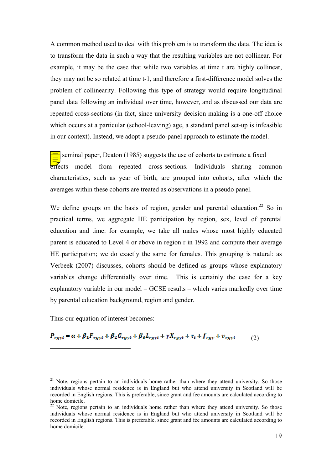A common method used to deal with this problem is to transform the data. The idea is to transform the data in such a way that the resulting variables are not collinear. For example, it may be the case that while two variables at time t are highly collinear, they may not be so related at time t-1, and therefore a first-difference model solves the problem of collinearity. Following this type of strategy would require longitudinal panel data following an individual over time, however, and as discussed our data are repeated cross-sections (in fact, since university decision making is a one-off choice which occurs at a particular (school-leaving) age, a standard panel set-up is infeasible in our context). Instead, we adopt a pseudo-panel approach to estimate the model.

seminal paper, Deaton (1985) suggests the use of cohorts to estimate a fixed effects model from repeated cross-sections. Individuals sharing common characteristics, such as year of birth, are grouped into cohorts, after which the averages within these cohorts are treated as observations in a pseudo panel.

We define groups on the basis of regio[n,](#page-18-2) gender and parental education.<sup>22</sup> So in practical terms, we aggregate HE participation by region, sex, level of parental education and time: for example, we take all males whose most highly educated parent is educated to Level 4 or above in region r in 1992 and compute their average HE participation; we do exactly the same for females. This grouping is natural: as Verbeek (2007) discusses, cohorts should be defined as groups whose explanatory variables change differentially over time. This is certainly the case for a key explanatory variable in our model – GCSE results – which varies markedly over time by parental education background, region and gender.

Thus our equation of interest becomes:

 $\overline{a}$ 

 $P_{rgyt} = \alpha + \beta_1 F_{rgyt} + \beta_2 G_{rgyt} + \beta_3 L_{rgyt} + \gamma X_{rgyt} + \tau_t + f_{rgy} + v_{rgyt}$ (2)

<span id="page-18-2"></span><span id="page-18-1"></span><span id="page-18-0"></span> $21$  Note, regions pertain to an individuals home rather than where they attend university. So those individuals whose normal residence is in England but who attend university in Scotland will be recorded in English regions. This is preferable, since grant and fee amounts are calculated according to home domicile.<br><sup>22</sup> Note, regions pertain to an individuals home rather than where they attend university. So those

<span id="page-18-3"></span>individuals whose normal residence is in England but who attend university in Scotland will be recorded in English regions. This is preferable, since grant and fee amounts are calculated according to home domicile.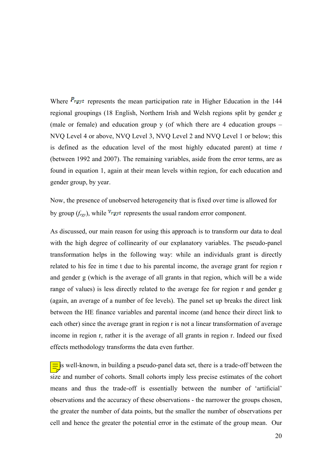Where  $P_{rsyt}$  represents the mean participation rate in Higher Education in the 144 regional groupings (18 English, Northern Irish and Welsh regions split by gender *g* (male or female) and education group y (of which there are 4 education groups – NVQ Level 4 or above, NVQ Level 3, NVQ Level 2 and NVQ Level 1 or below; this is defined as the education level of the most highly educated parent) at time *t* (between 1992 and 2007). The remaining variables, aside from the error terms, are as found in equation 1, again at their mean levels within region, for each education and gender group, by year.

Now, the presence of unobserved heterogeneity that is fixed over time is allowed for by group  $(f_{\text{rgb}})$ , while  $v_{\text{rgb}}$  represents the usual random error component.

As discussed, our main reason for using this approach is to transform our data to deal with the high degree of collinearity of our explanatory variables. The pseudo-panel transformation helps in the following way: while an individuals grant is directly related to his fee in time t due to his parental income, the average grant for region r and gender g (which is the average of all grants in that region, which will be a wide range of values) is less directly related to the average fee for region r and gender g (again, an average of a number of fee levels). The panel set up breaks the direct link between the HE finance variables and parental income (and hence their direct link to each other) since the average grant in region r is not a linear transformation of average income in region r, rather it is the average of all grants in region r. Indeed our fixed effects methodology transforms the data even further.

 $\equiv$  is well-known, in building a pseudo-panel data set, there is a trade-off between the size and number of cohorts. Small cohorts imply less precise estimates of the cohort means and thus the trade-off is essentially between the number of 'artificial' observations and the accuracy of these observations - the narrower the groups chosen, the greater the number of data points, but the smaller the number of observations per cell and hence the greater the potential error in the estimate of the group mean. Our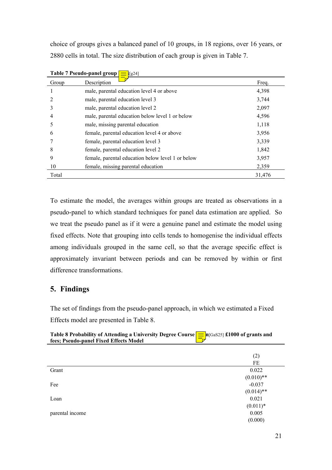choice of groups gives a balanced panel of 10 groups, in 18 regions, over 16 years, or 2880 cells in total. The size distribution of each group is given in Table 7.

|       | Table 7 Pseudo-panel group<br>$\equiv$ [g24]      |        |
|-------|---------------------------------------------------|--------|
| Group | Description                                       | Freq.  |
|       | male, parental education level 4 or above         | 4,398  |
|       | male, parental education level 3                  | 3,744  |
|       | male, parental education level 2                  | 2,097  |
|       | male, parental education below level 1 or below   | 4,596  |
|       | male, missing parental education                  | 1,118  |
| 6     | female, parental education level 4 or above       | 3,956  |
|       | female, parental education level 3                | 3,339  |
| 8     | female, parental education level 2                | 1,842  |
| 9     | female, parental education below level 1 or below | 3,957  |
| 10    | female, missing parental education                | 2,359  |
| Total |                                                   | 31,476 |

To estimate the model, the averages within groups are treated as observations in a pseudo-panel to which standard techniques for panel data estimation are applied. So we treat the pseudo panel as if it were a genuine panel and estimate the model using fixed effects. Note that grouping into cells tends to homogenise the individual effects among individuals grouped in the same cell, so that the average specific effect is approximately invariant between periods and can be removed by within or first difference transformations.

## **5. Findings**

The set of findings from the pseudo-panel approach, in which we estimated a Fixed Effects model are presented in Table 8.

| Table 8 Probability of Attending a University Degree Course $\boxed{\equiv}$ n[GaS25] £1000 of grants and |  |
|-----------------------------------------------------------------------------------------------------------|--|
| fees; Pseudo-panel Fixed Effects Model                                                                    |  |

|                 | (2)          |
|-----------------|--------------|
|                 | FE           |
| Grant           | 0.022        |
|                 | $(0.010)**$  |
| Fee             | $-0.037$     |
|                 | $(0.014)$ ** |
| Loan            | 0.021        |
|                 | $(0.011)*$   |
| parental income | 0.005        |
|                 | (0.000)      |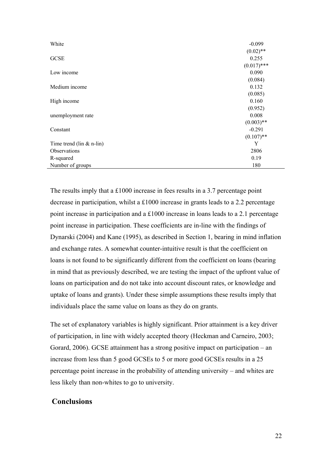| White                          | $-0.099$      |
|--------------------------------|---------------|
|                                | $(0.02)$ **   |
| <b>GCSE</b>                    | 0.255         |
|                                | $(0.017)$ *** |
| Low income                     | 0.090         |
|                                | (0.084)       |
| Medium income                  | 0.132         |
|                                | (0.085)       |
| High income                    | 0.160         |
|                                | (0.952)       |
| unemployment rate              | 0.008         |
|                                | $(0.003)$ **  |
| Constant                       | $-0.291$      |
|                                | $(0.107)$ **  |
| Time trend ( $\lim \& n$ -lin) | Y             |
| Observations                   | 2806          |
| R-squared                      | 0.19          |
| Number of groups               | 180           |

The results imply that a £1000 increase in fees results in a 3.7 percentage point decrease in participation, whilst a £1000 increase in grants leads to a 2.2 percentage point increase in participation and a £1000 increase in loans leads to a 2.1 percentage point increase in participation. These coefficients are in-line with the findings of Dynarski (2004) and Kane (1995), as described in Section 1, bearing in mind inflation and exchange rates. A somewhat counter-intuitive result is that the coefficient on loans is not found to be significantly different from the coefficient on loans (bearing in mind that as previously described, we are testing the impact of the upfront value of loans on participation and do not take into account discount rates, or knowledge and uptake of loans and grants). Under these simple assumptions these results imply that individuals place the same value on loans as they do on grants.

The set of explanatory variables is highly significant. Prior attainment is a key driver of participation, in line with widely accepted theory (Heckman and Carneiro, 2003; Gorard, 2006). GCSE attainment has a strong positive impact on participation – an increase from less than 5 good GCSEs to 5 or more good GCSEs results in a 25 percentage point increase in the probability of attending university – and whites are less likely than non-whites to go to university.

## **Conclusions**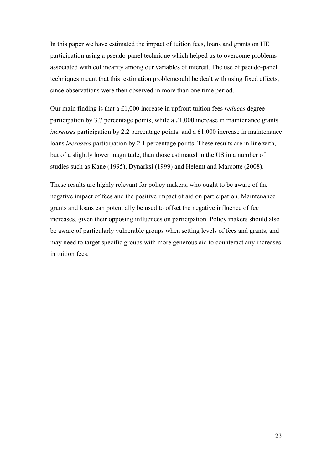In this paper we have estimated the impact of tuition fees, loans and grants on HE participation using a pseudo-panel technique which helped us to overcome problems associated with collinearity among our variables of interest. The use of pseudo-panel techniques meant that this estimation problemcould be dealt with using fixed effects, since observations were then observed in more than one time period.

Our main finding is that a £1,000 increase in upfront tuition fees *reduces* degree participation by 3.7 percentage points, while a £1,000 increase in maintenance grants *increases* participation by 2.2 percentage points, and a £1,000 increase in maintenance loans *increases* participation by 2.1 percentage points. These results are in line with, but of a slightly lower magnitude, than those estimated in the US in a number of studies such as Kane (1995), Dynarksi (1999) and Helemt and Marcotte (2008).

These results are highly relevant for policy makers, who ought to be aware of the negative impact of fees and the positive impact of aid on participation. Maintenance grants and loans can potentially be used to offset the negative influence of fee increases, given their opposing influences on participation. Policy makers should also be aware of particularly vulnerable groups when setting levels of fees and grants, and may need to target specific groups with more generous aid to counteract any increases in tuition fees.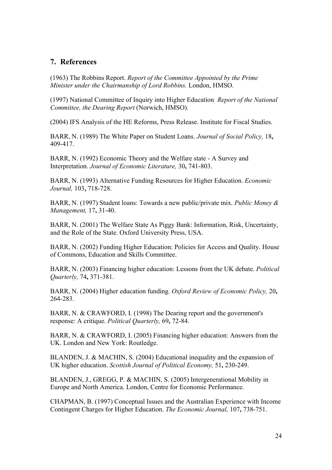## **7. References**

(1963) The Robbins Report. *Report of the Committee Appointed by the Prime Minister under the Chairmanship of Lord Robbins.* London, HMSO.

(1997) National Committee of Inquiry into Higher Education *Report of the National Committee, the Dearing Report* (Norwich, HMSO).

(2004) IFS Analysis of the HE Reforms, Press Release. Institute for Fiscal Studies.

BARR, N. (1989) The White Paper on Student Loans. *Journal of Social Policy,* 18**,** 409-417.

BARR, N. (1992) Economic Theory and the Welfare state - A Survey and Interpretation. *Journal of Economic Literature,* 30**,** 741-803.

BARR, N. (1993) Alternative Funding Resources for Higher Education. *Economic Journal,* 103**,** 718-728.

BARR, N. (1997) Student loans: Towards a new public/private mix. *Public Money & Management,* 17**,** 31-40.

BARR, N. (2001) The Welfare State As Piggy Bank: Information, Risk, Uncertainty, and the Role of the State. Oxford University Press, USA.

BARR, N. (2002) Funding Higher Education: Policies for Access and Quality. House of Commons, Education and Skills Committee.

BARR, N. (2003) Financing higher education: Lessons from the UK debate. *Political Quarterly,* 74**,** 371-381.

BARR, N. (2004) Higher education funding. *Oxford Review of Economic Policy,* 20**,** 264-283.

BARR, N. & CRAWFORD, I. (1998) The Dearing report and the government's response: A critique. *Political Quarterly,* 69**,** 72-84.

BARR, N. & CRAWFORD, I. (2005) Financing higher education: Answers from the UK. London and New York: Routledge.

BLANDEN, J. & MACHIN, S. (2004) Educational inequality and the expansion of UK higher education. *Scottish Journal of Political Economy,* 51**,** 230-249.

BLANDEN, J., GREGG, P. & MACHIN, S. (2005) Intergenerational Mobility in Europe and North America. London, Centre for Economic Performance.

CHAPMAN, B. (1997) Conceptual Issues and the Australian Experience with Income Contingent Charges for Higher Education. *The Economic Journal,* 107**,** 738-751.